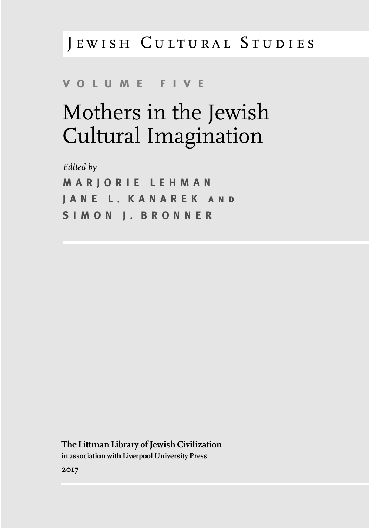## JEWISH CULTURAL STUDIES

## **v o l u m e f i v e**

# Mothers in the Jewish Cultural Imagination

*Edited by* **M A R J O R I E L E H M A N J A N E L . K A N A R E K a n d S I M O N J . B R O N N E R**

**The Littman Library of Jewish Civilization in association with Liverpool University Press 2017**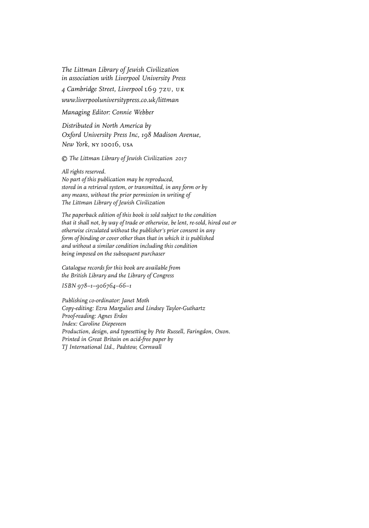*The Littman Library of Jewish Civilization in association with Liverpool University Press*

*4 Cambridge Street, Liverpool* l69 7zu, uk

*www.liverpooluniversitypress.co.uk/littman*

*Managing Editor: Connie Webber*

*Distributed in North America by Oxford University Press Inc, 198 Madison Avenue, New York,* ny 10016*,* usa

*© The Littman Library of Jewish Civilization 2017*

*All rights reserved.*

*No part of this publication may be reproduced, stored in a retrieval system, or transmitted, in any form or by any means, without the prior permission in writing of The Littman Library of Jewish Civilization*

*The paperback edition of this book is sold subject to the condition that it shall not, by way of trade or otherwise, be lent, re-sold, hired out or otherwise circulated without the publisher's prior consent in any form of binding or cover other than that in which it is published and without a similar condition including this condition being imposed on the subsequent purchaser*

*Catalogue records for this book are available from the British Library and the Library of Congress*

*ISBN 978–1–906764–66–1*

*Publishing co-ordinator: Janet Moth Copy-editing: Ezra Margulies and Lindsey Taylor-Guthartz Proof-reading: Agnes Erdos Index: Caroline Diepeveen Production, design, and typesetting by Pete Russell, Faringdon, Oxon. Printed in Great Britain on acid-free paper by TJ International Ltd., Padstow, Cornwall*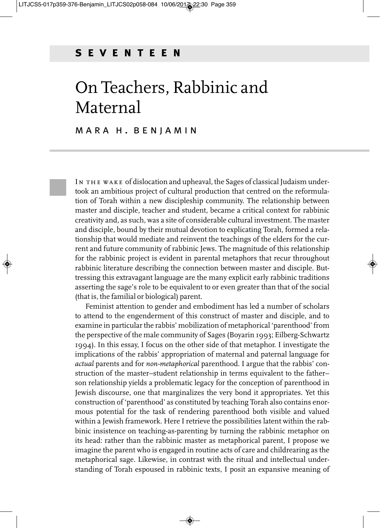## On Teachers, Rabbinic and Maternal

#### M A R A H . B E N J A M I N

IN THE WAKE of dislocation and upheaval, the Sages of classical Judaism undertook an ambitious project of cultural production that centred on the reformulation of Torah within a new discipleship community. The relationship between master and disciple, teacher and student, became a critical context for rabbinic creativity and, as such, was a site of considerable cultural investment. The master and disciple, bound by their mutual devotion to explicating Torah, formed a relationship that would mediate and reinvent the teachings of the elders for the current and future community of rabbinic Jews. The magnitude of this relationship for the rabbinic project is evident in parental metaphors that recur throughout rabbinic literature describing the connection between master and disciple. Buttressing this extravagant language are the many explicit early rabbinic traditions asserting the sage's role to be equivalent to or even greater than that of the social (that is, the familial or biological) parent.

Feminist attention to gender and embodiment has led a number of scholars to attend to the engenderment of this construct of master and disciple, and to examine in particular the rabbis' mobilization of metaphorical 'parenthood' from the perspective of the male community of Sages (Boyarin 1993; Eilberg-Schwartz 1994). In this essay, I focus on the other side of that metaphor. I investigate the implications of the rabbis' appropriation of maternal and paternal language for *actual* parents and for *non-metaphorical* parenthood. I argue that the rabbis' construction of the master–student relationship in terms equivalent to the father– son relationship yields a problematic legacy for the conception of parenthood in Jewish discourse, one that marginalizes the very bond it appropriates. Yet this construction of 'parenthood' as constituted by teaching Torah also contains enormous potential for the task of rendering parenthood both visible and valued within a Jewish framework. Here I retrieve the possibilities latent within the rabbinic insistence on teaching-as-parenting by turning the rabbinic metaphor on its head: rather than the rabbinic master as metaphorical parent, I propose we imagine the parent who is engaged in routine acts of care and childrearing as the metaphorical sage. Likewise, in contrast with the ritual and intellectual understanding of Torah espoused in rabbinic texts, I posit an expansive meaning of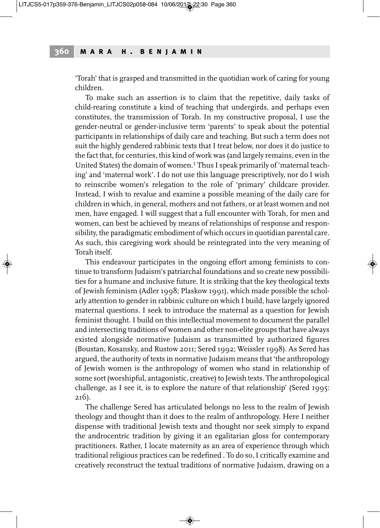'Torah' that is grasped and transmitted in the quotidian work of caring for young children.

To make such an assertion is to claim that the repetitive, daily tasks of child-rearing constitute a kind of teaching that undergirds, and perhaps even constitutes, the transmission of Torah. In my constructive proposal, I use the gender-neutral or gender-inclusive term 'parents' to speak about the potential participants in relationships of daily care and teaching. But such a term does not suit the highly gendered rabbinic texts that I treat below, nor does it do justice to the fact that, for centuries, this kind of work was (and largely remains, even in the United States) the domain of women. <sup>1</sup> Thus I speak primarily of 'maternal teaching' and 'maternal work'. I do not use this language prescriptively, nor do I wish to reinscribe women's relegation to the role of 'primary' childcare provider. Instead, I wish to revalue and examine a possible meaning of the daily care for children in which, in general, mothers and not fathers, or at least women and not men, have engaged. I will suggest that a full encounter with Torah, for men and women, can best be achieved by means of relationships of response and responsibility, the paradigmatic embodiment of which occurs in quotidian parental care. As such, this caregiving work should be reintegrated into the very meaning of Torah itself.

This endeavour participates in the ongoing effort among feminists to continue to transform Judaism's patriarchal foundations and so create new possibilities for a humane and inclusive future. It is striking that the key theological texts of Jewish feminism (Adler 1998; Plaskow 1991), which made possible the scholarly attention to gender in rabbinic culture on which I build, have largely ignored maternal questions. I seek to introduce the maternal as a question for Jewish feminist thought. I build on this intellectual movement to document the parallel and intersecting traditions of women and other non-elite groups that have always existed alongside normative Judaism as transmitted by authorized figures (Boustan, Kosansky, and Rustow 2011; Sered 1992; Weissler 1998). As Sered has argued, the authority of texts in normative Judaism means that 'the anthropology of Jewish women is the anthropology of women who stand in relationship of some sort (worshipful, antagonistic, creative) to Jewish texts. The anthropological challenge, as I see it, is to explore the nature of that relationship' (Sered 1995: 216).

The challenge Sered has articulated belongs no less to the realm of Jewish theology and thought than it does to the realm of anthropology. Here I neither dispense with traditional Jewish texts and thought nor seek simply to expand the androcentric tradition by giving it an egalitarian gloss for contemporary practitioners. Rather, I locate maternity as an area of experience through which traditional religious practices can be redefined . To do so, I critically examine and creatively reconstruct the textual traditions of normative Judaism, drawing on a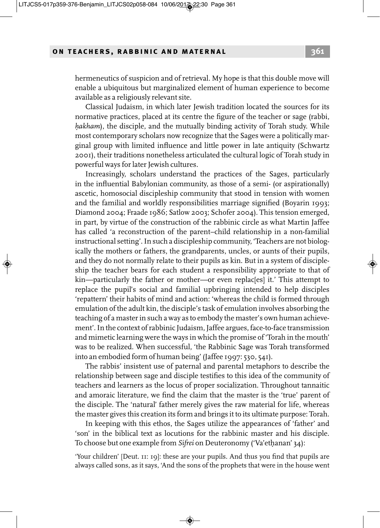hermeneutics of suspicion and of retrieval. My hope is that this double move will enable a ubiquitous but marginalized element of human experience to become available as a religiously relevant site.

Classical Judaism, in which later Jewish tradition located the sources for its normative practices, placed at its centre the figure of the teacher or sage (rabbi, *hakham*), the disciple, and the mutually binding activity of Torah study. While most contemporary scholars now recognize that the Sages were a politically marginal group with limited influence and little power in late antiquity (Schwartz 2001), their traditions nonetheless articulated the cultural logic of Torah study in powerful ways for later Jewish cultures.

Increasingly, scholars understand the practices of the Sages, particularly in the influential Babylonian community, as those of a semi- (or aspirationally) ascetic, homosocial discipleship community that stood in tension with women and the familial and worldly responsibilities marriage signified (Boyarin 1993; Diamond 2004; Fraade 1986; Satlow 2003; Schofer 2004). This tension emerged, in part, by virtue of the construction of the rabbinic circle as what Martin Jaffee has called 'a reconstruction of the parent–child relationship in a non-familial instructional setting'.In such a discipleship community, 'Teachers are not biologically the mothers or fathers, the grandparents, uncles, or aunts of their pupils, and they do not normally relate to their pupils as kin. But in a system of discipleship the teacher bears for each student a responsibility appropriate to that of kin—particularly the father or mother—or even replac[es] it.' This attempt to replace the pupil's social and familial upbringing intended to help disciples 'repattern' their habits of mind and action: 'whereas the child is formed through emulation of the adult kin, the disciple's task of emulation involves absorbing the teaching of a masterin such a way as to embody the master's own human achievement'. In the context of rabbinic Judaism, Jaffee argues, face-to-face transmission and mimetic learning were the ways in which the promise of 'Torah in the mouth' was to be realized. When successful, 'the Rabbinic Sage was Torah transformed into an embodied form of human being' (Jaffee 1997: 530, 541).

The rabbis' insistent use of paternal and parental metaphors to describe the relationship between sage and disciple testifies to this idea of the community of teachers and learners as the locus of proper socialization. Throughout tannaitic and amoraic literature, we find the claim that the master is the 'true' parent of the disciple. The 'natural' father merely gives the raw material for life, whereas the master gives this creation its form and brings it to its ultimate purpose: Torah.

In keeping with this ethos, the Sages utilize the appearances of 'father' and 'son' in the biblical text as locutions for the rabbinic master and his disciple. To choose but one example from *Sifrei* on Deuteronomy ('Va'ethanan' 34):

'Your children' [Deut. 11: 19]: these are your pupils. And thus you find that pupils are always called sons, as it says, 'And the sons of the prophets that were in the house went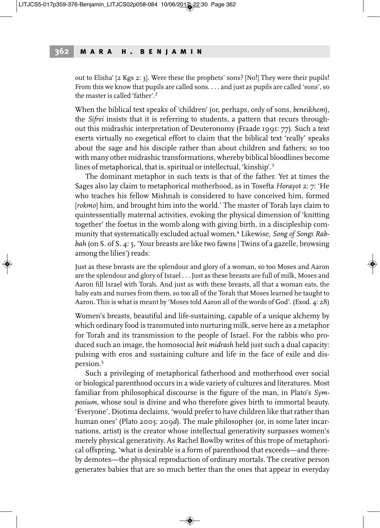out to Elisha' [2 Kgs 2: 3]. Were these the prophets' sons? [No!] They were their pupils! From this we know that pupils are called sons. . . . and just as pupils are called 'sons', so the master is called 'father'.<sup>2</sup>

When the biblical text speaks of 'children' (or, perhaps, only of sons, *beneikhem*), the *Sifrei* insists that it is referring to students, a pattern that recurs throughout this midrashic interpretation of Deuteronomy (Fraade 1991: 77). Such a text exerts virtually no exegetical effort to claim that the biblical text 'really' speaks about the sage and his disciple rather than about children and fathers; so too with many other midrashic transformations, whereby biblical bloodlines become lines of metaphorical, that is, spiritual or intellectual, 'kinship'.<sup>3</sup>

The dominant metaphor in such texts is that of the father. Yet at times the Sages also lay claim to metaphorical motherhood, as in Tosefta *Horayot* 2: 7: 'He who teaches his fellow Mishnah is considered to have conceived him, formed [*rokmo*] him, and brought him into the world.' The master of Torah lays claim to quintessentially maternal activities, evoking the physical dimension of 'knitting together' the foetus in the womb along with giving birth, in a discipleship community that systematically excluded actual women. <sup>4</sup> Likewise, *Song of Songs Rabbah* (on S. of S. 4: 5, 'Your breasts are like two fawns | Twins of a gazelle, browsing among the lilies') reads:

Just as these breasts are the splendour and glory of a woman, so too Moses and Aaron are the splendour and glory of Israel . . . Just as these breasts are full of milk, Moses and Aaron fill Israel with Torah. And just as with these breasts, all that a woman eats, the baby eats and nurses from them, so too all of the Torah that Moses learned he taught to Aaron. This is what is meant by 'Moses told Aaron all of the words of God'. (Exod. 4: 28)

Women's breasts, beautiful and life-sustaining, capable of a unique alchemy by which ordinary food is transmuted into nurturing milk, serve here as a metaphor for Torah and its transmission to the people of Israel. For the rabbis who produced such an image, the homosocial *beit midrash* held just such a dual capacity: pulsing with eros and sustaining culture and life in the face of exile and dispersion. 5

Such a privileging of metaphorical fatherhood and motherhood over social or biological parenthood occurs in a wide variety of cultures and literatures. Most familiar from philosophical discourse is the figure of the man, in Plato's *Symposium*, whose soul is divine and who therefore gives birth to immortal beauty. 'Everyone', Diotima declaims, 'would prefer to have children like that rather than human ones' (Plato 2003: 209*d*). The male philosopher (or, in some later incarnations, artist) is the creator whose intellectual generativity surpasses women's merely physical generativity. As Rachel Bowlby writes of this trope of metaphorical offspring, 'what is desirable is a form of parenthood that exceeds—and thereby demotes—the physical reproduction of ordinary mortals. The creative person generates babies that are so much better than the ones that appear in everyday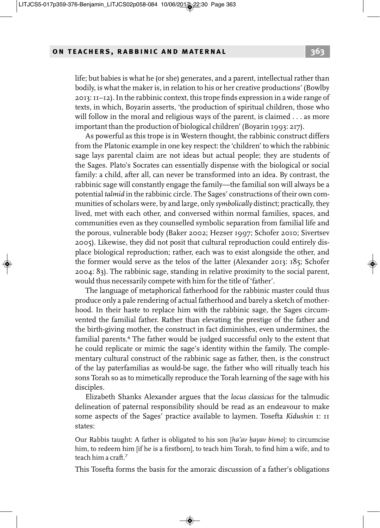life; but babies is what he (or she) generates, and a parent, intellectual rather than bodily, is what the makeris, in relation to his or her creative productions' (Bowlby 2013:11–12).In the rabbinic context, this trope finds expression in a wide range of texts, in which, Boyarin asserts, 'the production of spiritual children, those who will follow in the moral and religious ways of the parent, is claimed . . . as more important than the production of biological children' (Boyarin 1993: 217).

As powerful as this trope is in Western thought, the rabbinic construct differs from the Platonic example in one key respect: the 'children' to which the rabbinic sage lays parental claim are not ideas but actual people; they are students of the Sages. Plato's Socrates can essentially dispense with the biological or social family: a child, after all, can never be transformed into an idea. By contrast, the rabbinic sage will constantly engage the family—the familial son will always be a potential *talmid* in the rabbinic circle. The Sages' constructions of their own communities of scholars were, by and large, only *symbolically* distinct; practically, they lived, met with each other, and conversed within normal families, spaces, and communities even as they counselled symbolic separation from familial life and the porous, vulnerable body (Baker 2002; Hezser 1997; Schofer 2010; Sivertsev 2005). Likewise, they did not posit that cultural reproduction could entirely displace biological reproduction; rather, each was to exist alongside the other, and the former would serve as the telos of the latter (Alexander 2013: 185; Schofer 2004: 83). The rabbinic sage, standing in relative proximity to the social parent, would thus necessarily compete with him for the title of 'father'.

The language of metaphorical fatherhood for the rabbinic master could thus produce only a pale rendering of actual fatherhood and barely a sketch of motherhood. In their haste to replace him with the rabbinic sage, the Sages circumvented the familial father. Rather than elevating the prestige of the father and the birth-giving mother, the construct in fact diminishes, even undermines, the familial parents. <sup>6</sup> The father would be judged successful only to the extent that he could replicate or mimic the sage's identity within the family. The complementary cultural construct of the rabbinic sage as father, then, is the construct of the lay paterfamilias as would-be sage, the father who will ritually teach his sons Torah so as to mimetically reproduce the Torah learning of the sage with his disciples.

Elizabeth Shanks Alexander argues that the *locus classicus* for the talmudic delineation of paternal responsibility should be read as an endeavour to make some aspects of the Sages' practice available to laymen. Tosefta *Kidushin* 1: 11 states:

Our Rabbis taught: A father is obligated to his son [*ha'av h. ayav bivno*]: to circumcise him, to redeem him [if he is a firstborn], to teach him Torah, to find him a wife, and to teach him a craft. 7

This Tosefta forms the basis for the amoraic discussion of a father's obligations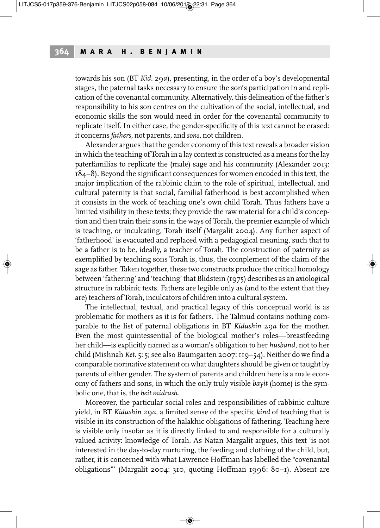towards his son (BT *Kid.* 29*a*), presenting, in the order of a boy's developmental stages, the paternal tasks necessary to ensure the son's participation in and replication of the covenantal community. Alternatively, this delineation of the father's responsibility to his son centres on the cultivation of the social, intellectual, and economic skills the son would need in order for the covenantal community to replicate itself. In either case, the gender-specificity of this text cannot be erased: it concerns *fathers*, not parents, and *sons*, not children.

Alexander argues that the gender economy of this text reveals a broader vision in which the teaching of Torah in a lay context is constructed as a means forthe lay paterfamilias to replicate the (male) sage and his community (Alexander 2013: 184–8). Beyond the significant consequences for women encoded in this text, the major implication of the rabbinic claim to the role of spiritual, intellectual, and cultural paternity is that social, familial fatherhood is best accomplished when it consists in the work of teaching one's own child Torah. Thus fathers have a limited visibility in these texts; they provide the raw material for a child's conception and then train their sons in the ways of Torah, the premier example of which is teaching, or inculcating, Torah itself (Margalit 2004). Any further aspect of 'fatherhood' is evacuated and replaced with a pedagogical meaning, such that to be a father is to be, ideally, a teacher of Torah. The construction of paternity as exemplified by teaching sons Torah is, thus, the complement of the claim of the sage as father. Taken together, these two constructs produce the critical homology between 'fathering' and 'teaching' that Blidstein (1975) describes as an axiological structure in rabbinic texts. Fathers are legible only as (and to the extent that they are) teachers of Torah, inculcators of children into a cultural system.

The intellectual, textual, and practical legacy of this conceptual world is as problematic for mothers as it is for fathers. The Talmud contains nothing comparable to the list of paternal obligations in BT *Kidushin* 29*a* for the mother. Even the most quintessential of the biological mother's roles—breastfeeding her child—is explicitly named as a woman's obligation to her *husband*, not to her child (Mishnah *Ket.* 5: 5; see also Baumgarten 2007:119–54). Neither do we find a comparable normative statement on what daughters should be given or taught by parents of either gender. The system of parents and children here is a male economy of fathers and sons, in which the only truly visible *bayit* (home) is the symbolic one, that is, the *beit midrash*.

Moreover, the particular social roles and responsibilities of rabbinic culture yield, in BT *Kidushin* 29*a*, a limited sense of the specific *kind* of teaching that is visible in its construction of the halakhic obligations of fathering. Teaching here is visible only insofar as it is directly linked to and responsible for a culturally valued activity: knowledge of Torah. As Natan Margalit argues, this text 'is not interested in the day-to-day nurturing, the feeding and clothing of the child, but, rather, it is concerned with what Lawrence Hoffman has labelled the "covenantal obligations"' (Margalit 2004: 310, quoting Hoffman 1996: 80–1). Absent are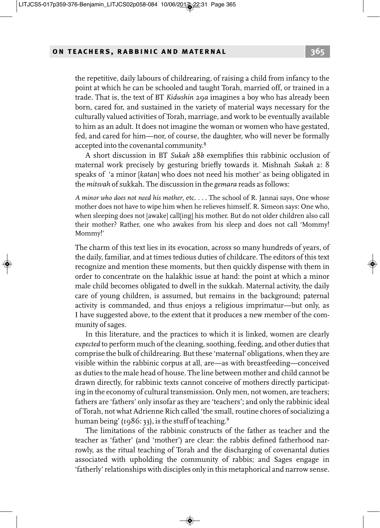the repetitive, daily labours of childrearing, of raising a child from infancy to the point at which he can be schooled and taught Torah, married off, or trained in a trade. That is, the text of BT *Kidushin* 29*a* imagines a boy who has already been born, cared for, and sustained in the variety of material ways necessary for the culturally valued activities of Torah, marriage, and work to be eventually available to him as an adult. It does not imagine the woman or women who have gestated, fed, and cared for him—nor, of course, the daughter, who will never be formally accepted into the covenantal community.<sup>8</sup>

A short discussion in BT *Sukah* 28*b* exemplifies this rabbinic occlusion of maternal work precisely by gesturing briefly towards it. Mishnah *Sukah* 2: 8 speaks of 'a minor [*katan*] who does not need his mother' as being obligated in the *mitsvah* of sukkah. The discussion in the *gemara* reads as follows:

*A minor who does not need his mother*, etc. . . . The school of R. Jannai says, One whose mother does not have to wipe him when he relieves himself. R. Simeon says: One who, when sleeping does not [awake] call[ing] his mother. But do not older children also call their mother? Rather, one who awakes from his sleep and does not call 'Mommy! Mommy!'

The charm of this text lies in its evocation, across so many hundreds of years, of the daily, familiar, and at times tedious duties of childcare. The editors of this text recognize and mention these moments, but then quickly dispense with them in order to concentrate on the halakhic issue at hand: the point at which a minor male child becomes obligated to dwell in the sukkah. Maternal activity, the daily care of young children, is assumed, but remains in the background; paternal activity is commanded, and thus enjoys a religious imprimatur—but only, as I have suggested above, to the extent that it produces a new member of the community of sages.

In this literature, and the practices to which it is linked, women are clearly *expected* to perform much of the cleaning, soothing, feeding, and other duties that comprise the bulk of childrearing. But these 'maternal' obligations, when they are visible within the rabbinic corpus at all, are—as with breastfeeding—conceived as duties to the male head of house. The line between mother and child cannot be drawn directly, for rabbinic texts cannot conceive of mothers directly participating in the economy of cultural transmission. Only men, not women, are teachers; fathers are 'fathers' only insofar as they are 'teachers'; and only the rabbinic ideal of Torah, not what Adrienne Rich called 'the small, routine chores of socializing a human being' (1986: 33), is the stuff of teaching.<sup>9</sup>

The limitations of the rabbinic constructs of the father as teacher and the teacher as 'father' (and 'mother') are clear: the rabbis defined fatherhood narrowly, as the ritual teaching of Torah and the discharging of covenantal duties associated with upholding the community of rabbis; and Sages engage in 'fatherly'relationships with disciples only in this metaphorical and narrow sense.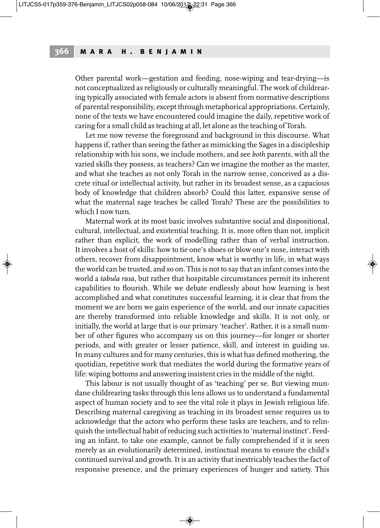Other parental work—gestation and feeding, nose-wiping and tear-drying—is not conceptualized as religiously or culturally meaningful. The work of childrearing typically associated with female actors is absent from normative descriptions of parental responsibility, except through metaphorical appropriations. Certainly, none of the texts we have encountered could imagine the daily, repetitive work of caring for a small child as teaching at all, let alone as the teaching of Torah.

Let me now reverse the foreground and background in this discourse. What happens if, rather than seeing the father as mimicking the Sages in a discipleship relationship with his sons, we include mothers, and see *both* parents, with all the varied skills they possess, as teachers? Can we imagine the mother as the master, and what she teaches as not only Torah in the narrow sense, conceived as a discrete ritual or intellectual activity, but rather in its broadest sense, as a capacious body of knowledge that children absorb? Could this latter, expansive sense of what the maternal sage teaches be called Torah? These are the possibilities to which I now turn.

Maternal work at its most basic involves substantive social and dispositional, cultural, intellectual, and existential teaching. It is, more often than not, implicit rather than explicit, the work of modelling rather than of verbal instruction. It involves a host of skills: how to tie one's shoes or blow one's nose, interact with others, recover from disappointment, know what is worthy in life, in what ways the world can be trusted, and so on. This is not to say that an infant comes into the world a *tabula rasa*, but rather that hospitable circumstances permit its inherent capabilities to flourish. While we debate endlessly about how learning is best accomplished and what constitutes successful learning, it is clear that from the moment we are born we gain experience of the world, and our innate capacities are thereby transformed into reliable knowledge and skills. It is not only, or initially, the world at large that is our primary 'teacher'. Rather, it is a small number of other figures who accompany us on this journey—for longer or shorter periods, and with greater or lesser patience, skill, and interest in guiding us. In many cultures and for many centuries, this is what has defined mothering, the quotidian, repetitive work that mediates the world during the formative years of life: wiping bottoms and answering insistent cries in the middle of the night.

This labour is not usually thought of as 'teaching' per se. But viewing mundane childrearing tasks through this lens allows us to understand a fundamental aspect of human society and to see the vital role it plays in Jewish religious life. Describing maternal caregiving as teaching in its broadest sense requires us to acknowledge that the actors who perform these tasks are teachers, and to relinquish the intellectual habit ofreducing such activities to 'maternal instinct'. Feeding an infant, to take one example, cannot be fully comprehended if it is seen merely as an evolutionarily determined, instinctual means to ensure the child's continued survival and growth. It is an activity that inextricably teaches the fact of responsive presence, and the primary experiences of hunger and satiety. This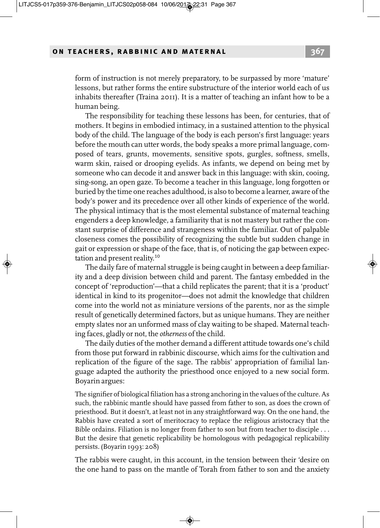form of instruction is not merely preparatory, to be surpassed by more 'mature' lessons, but rather forms the entire substructure of the interior world each of us inhabits thereafter (Traina 2011). It is a matter of teaching an infant how to be a human being.

The responsibility for teaching these lessons has been, for centuries, that of mothers. It begins in embodied intimacy, in a sustained attention to the physical body of the child. The language of the body is each person's first language: years before the mouth can utter words, the body speaks a more primal language, composed of tears, grunts, movements, sensitive spots, gurgles, softness, smells, warm skin, raised or drooping eyelids. As infants, we depend on being met by someone who can decode it and answer back in this language: with skin, cooing, sing-song, an open gaze. To become a teacher in this language, long forgotten or buried by the time one reaches adulthood, is also to become a learner, aware of the body's power and its precedence over all other kinds of experience of the world. The physical intimacy that is the most elemental substance of maternal teaching engenders a deep knowledge, a familiarity that is not mastery but rather the constant surprise of difference and strangeness within the familiar. Out of palpable closeness comes the possibility of recognizing the subtle but sudden change in gait or expression or shape of the face, that is, of noticing the gap between expectation and present reality.<sup>10</sup>

The daily fare of maternal struggle is being caught in between a deep familiarity and a deep division between child and parent. The fantasy embedded in the concept of 'reproduction'—that a child replicates the parent; that it is a 'product' identical in kind to its progenitor—does not admit the knowledge that children come into the world not as miniature versions of the parents, nor as the simple result of genetically determined factors, but as unique humans. They are neither empty slates nor an unformed mass of clay waiting to be shaped. Maternal teaching faces, gladly or not, the *otherness* of the child.

The daily duties of the mother demand a different attitude towards one's child from those put forward in rabbinic discourse, which aims for the cultivation and replication of the figure of the sage. The rabbis' appropriation of familial language adapted the authority the priesthood once enjoyed to a new social form. Boyarin argues:

The signifier of biological filiation has a strong anchoring in the values of the culture.As such, the rabbinic mantle should have passed from father to son, as does the crown of priesthood. But it doesn't, at least not in any straightforward way. On the one hand, the Rabbis have created a sort of meritocracy to replace the religious aristocracy that the Bible ordains. Filiation is no longer from father to son but from teacher to disciple . . . But the desire that genetic replicability be homologous with pedagogical replicability persists. (Boyarin 1993: 208)

The rabbis were caught, in this account, in the tension between their 'desire on the one hand to pass on the mantle of Torah from father to son and the anxiety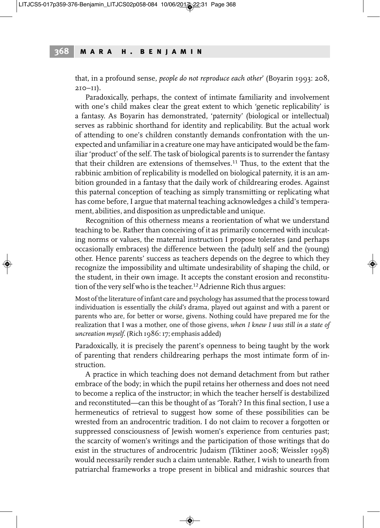that, in a profound sense, *people do not reproduce each other*' (Boyarin 1993: 208,  $210 - 11$ ).

Paradoxically, perhaps, the context of intimate familiarity and involvement with one's child makes clear the great extent to which 'genetic replicability' is a fantasy. As Boyarin has demonstrated, 'paternity' (biological or intellectual) serves as rabbinic shorthand for identity and replicability. But the actual work of attending to one's children constantly demands confrontation with the unexpected and unfamiliar in a creature one may have anticipated would be the familiar 'product' of the self. The task of biological parents is to surrender the fantasy that their children are extensions of themselves. <sup>11</sup> Thus, to the extent that the rabbinic ambition of replicability is modelled on biological paternity, it is an ambition grounded in a fantasy that the daily work of childrearing erodes. Against this paternal conception of teaching as simply transmitting or replicating what has come before, I argue that maternal teaching acknowledges a child's temperament, abilities, and disposition as unpredictable and unique.

Recognition of this otherness means a reorientation of what we understand teaching to be. Rather than conceiving of it as primarily concerned with inculcating norms or values, the maternal instruction I propose tolerates (and perhaps occasionally embraces) the difference between the (adult) self and the (young) other. Hence parents' success as teachers depends on the degree to which they recognize the impossibility and ultimate undesirability of shaping the child, or the student, in their own image. It accepts the constant erosion and reconstitution of the very self who is the teacher. <sup>12</sup>Adrienne Rich thus argues:

Most of the literature of infant care and psychology has assumed that the process toward individuation is essentially the *child's* drama, played out against and with a parent or parents who are, for better or worse, givens. Nothing could have prepared me for the realization that I was a mother, one of those givens, *when I knew I was still in a state of uncreation myself*. (Rich 1986:17; emphasis added)

Paradoxically, it is precisely the parent's openness to being taught by the work of parenting that renders childrearing perhaps the most intimate form of instruction.

A practice in which teaching does not demand detachment from but rather embrace of the body; in which the pupil retains her otherness and does not need to become a replica of the instructor; in which the teacher herself is destabilized and reconstituted—can this be thought of as 'Torah'? In this final section, I use a hermeneutics of retrieval to suggest how some of these possibilities can be wrested from an androcentric tradition. I do not claim to recover a forgotten or suppressed consciousness of Jewish women's experience from centuries past; the scarcity of women's writings and the participation of those writings that do exist in the structures of androcentric Judaism (Tiktiner 2008; Weissler 1998) would necessarily render such a claim untenable. Rather, I wish to unearth from patriarchal frameworks a trope present in biblical and midrashic sources that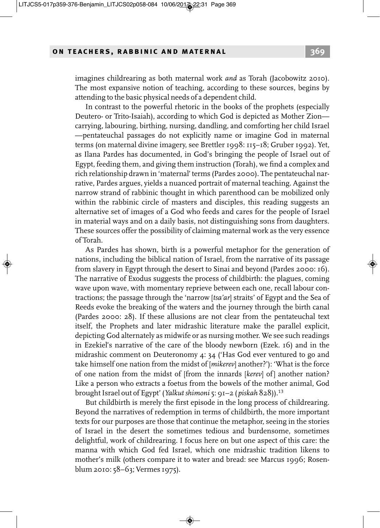imagines childrearing as both maternal work *and* as Torah (Jacobowitz 2010). The most expansive notion of teaching, according to these sources, begins by attending to the basic physical needs of a dependent child.

In contrast to the powerful rhetoric in the books of the prophets (especially Deutero- or Trito-Isaiah), according to which God is depicted as Mother Zion carrying, labouring, birthing, nursing, dandling, and comforting her child Israel —pentateuchal passages do not explicitly name or imagine God in maternal terms (on maternal divine imagery, see Brettler 1998: 115–18; Gruber 1992). Yet, as Ilana Pardes has documented, in God's bringing the people of Israel out of Egypt, feeding them, and giving them instruction (Torah), we find a complex and rich relationship drawn in 'maternal' terms (Pardes 2000). The pentateuchal narrative, Pardes argues, yields a nuanced portrait of maternal teaching. Against the narrow strand of rabbinic thought in which parenthood can be mobilized only within the rabbinic circle of masters and disciples, this reading suggests an alternative set of images of a God who feeds and cares for the people of Israel in material ways and on a daily basis, not distinguishing sons from daughters. These sources offer the possibility of claiming maternal work as the very essence of Torah.

As Pardes has shown, birth is a powerful metaphor for the generation of nations, including the biblical nation of Israel, from the narrative of its passage from slavery in Egypt through the desert to Sinai and beyond (Pardes 2000: 16). The narrative of Exodus suggests the process of childbirth: the plagues, coming wave upon wave, with momentary reprieve between each one, recall labour contractions; the passage through the 'narrow [*tsa'ar*] straits' of Egypt and the Sea of Reeds evoke the breaking of the waters and the journey through the birth canal (Pardes 2000: 28). If these allusions are not clear from the pentateuchal text itself, the Prophets and later midrashic literature make the parallel explicit, depicting God alternately as midwife or as nursing mother. We see such readings in Ezekiel's narrative of the care of the bloody newborn (Ezek. 16) and in the midrashic comment on Deuteronomy 4: 34 ('Has God ever ventured to go and take himself one nation from the midst of [*mikerev*] another?'): 'What is the force of one nation from the midst of [from the innards [*kerev*] of] another nation? Like a person who extracts a foetus from the bowels of the mother animal, God brought Israel out of Egypt' (*Yalkut shimoni* 5: 91-2 (*piskah* 828)).<sup>13</sup>

But childbirth is merely the first episode in the long process of childrearing. Beyond the narratives of redemption in terms of childbirth, the more important texts for our purposes are those that continue the metaphor, seeing in the stories of Israel in the desert the sometimes tedious and burdensome, sometimes delightful, work of childrearing. I focus here on but one aspect of this care: the manna with which God fed Israel, which one midrashic tradition likens to mother's milk (others compare it to water and bread: see Marcus 1996; Rosenblum 2010: 58–63; Vermes 1975).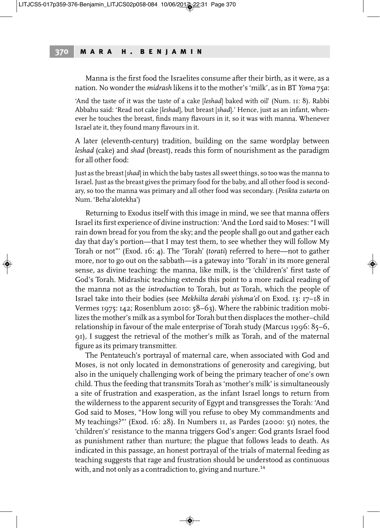Manna is the first food the Israelites consume after their birth, as it were, as a nation. No wonder the *midrash* likens it to the mother's 'milk', as in BT *Yoma* 75*a*:

'And the taste of it was the taste of a cake [*leshad*] baked with oil' (Num. 11: 8). Rabbi Abbahu said: 'Read not cake [*leshad*], but breast [*shad*].' Hence, just as an infant, whenever he touches the breast, finds many flavours in it, so it was with manna. Whenever Israel ate it, they found many flavours in it.

A later (eleventh-century) tradition, building on the same wordplay between *leshad* (cake) and *shad* (breast), reads this form of nourishment as the paradigm for all other food:

Just as the breast [*shad*] in which the baby tastes all sweet things, so too was the manna to Israel. Just as the breast gives the primary food for the baby, and all other food is secondary, so too the manna was primary and all other food was secondary. (*Pesikta zutarta* on Num. 'Beha'alotekha')

Returning to Exodus itself with this image in mind, we see that manna offers Israel its first experience of divine instruction: 'And the Lord said to Moses: "I will rain down bread for you from the sky; and the people shall go out and gather each day that day's portion—that I may test them, to see whether they will follow My Torah or not"' (Exod. 16: 4). The 'Torah' (*torati*) referred to here—not to gather more, nor to go out on the sabbath—is a gateway into 'Torah' in its more general sense, as divine teaching: the manna, like milk, is the 'children's' first taste of God's Torah. Midrashic teaching extends this point to a more radical reading of the manna not as the *introduction* to Torah, but *as* Torah, which the people of Israel take into their bodies (see *Mekhilta derabi yishma'el* on Exod. 13: 17–18 in Vermes 1975: 142; Rosenblum 2010: 58–63). Where the rabbinic tradition mobilizes the mother's milk as a symbol for Torah but then displaces the mother–child relationship in favour of the male enterprise of Torah study (Marcus 1996: 85–6, 91), I suggest the retrieval of the mother's milk as Torah, and of the maternal figure as its primary transmitter.

The Pentateuch's portrayal of maternal care, when associated with God and Moses, is not only located in demonstrations of generosity and caregiving, but also in the uniquely challenging work of being the primary teacher of one's own child. Thus the feeding that transmits Torah as 'mother's milk' is simultaneously a site of frustration and exasperation, as the infant Israel longs to return from the wilderness to the apparent security of Egypt and transgresses the Torah: 'And God said to Moses, "How long will you refuse to obey My commandments and My teachings?"' (Exod. 16: 28). In Numbers 11, as Pardes (2000: 51) notes, the 'children's' resistance to the manna triggers God's anger: God grants Israel food as punishment rather than nurture; the plague that follows leads to death. As indicated in this passage, an honest portrayal of the trials of maternal feeding as teaching suggests that rage and frustration should be understood as continuous with, and not only as a contradiction to, giving and nurture.<sup>14</sup>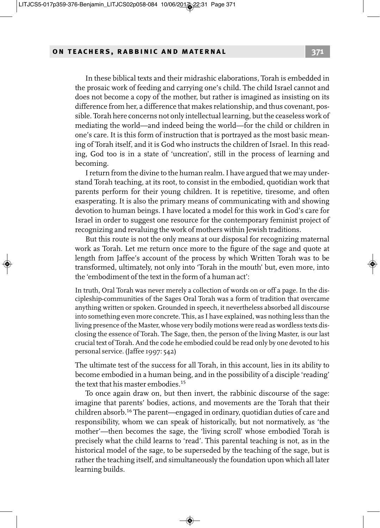In these biblical texts and their midrashic elaborations, Torah is embedded in the prosaic work of feeding and carrying one's child. The child Israel cannot and does not become a copy of the mother, but rather is imagined as insisting on its difference from her, a difference that makes relationship, and thus covenant, possible. Torah here concerns not only intellectual learning, but the ceaseless work of mediating the world—and indeed being the world—for the child or children in one's care. It is this form of instruction that is portrayed as the most basic meaning of Torah itself, and it is God who instructs the children of Israel. In this reading, God too is in a state of 'uncreation', still in the process of learning and becoming.

I return from the divine to the human realm. I have argued that we may understand Torah teaching, at its root, to consist in the embodied, quotidian work that parents perform for their young children. It is repetitive, tiresome, and often exasperating. It is also the primary means of communicating with and showing devotion to human beings. I have located a model for this work in God's care for Israel in order to suggest one resource for the contemporary feminist project of recognizing and revaluing the work of mothers within Jewish traditions.

But this route is not the only means at our disposal for recognizing maternal work as Torah. Let me return once more to the figure of the sage and quote at length from Jaffee's account of the process by which Written Torah was to be transformed, ultimately, not only into 'Torah in the mouth' but, even more, into the 'embodiment of the text in the form of a human act':

In truth, Oral Torah was never merely a collection of words on or off a page. In the discipleship-communities of the Sages Oral Torah was a form of tradition that overcame anything written or spoken. Grounded in speech, it nevertheless absorbed all discourse into something even more concrete. This, as I have explained, was nothing less than the living presence of the Master, whose very bodily motions were read as wordless texts disclosing the essence of Torah. The Sage, then, the person of the living Master, is our last crucial text of Torah. And the code he embodied could be read only by one devoted to his personal service. (Jaffee 1997: 542)

The ultimate test of the success for all Torah, in this account, lies in its ability to become embodied in a human being, and in the possibility of a disciple 'reading' the text that his master embodies. 15

To once again draw on, but then invert, the rabbinic discourse of the sage: imagine that parents' bodies, actions, and movements are the Torah that their children absorb. <sup>16</sup> The parent—engaged in ordinary, quotidian duties of care and responsibility, whom we can speak of historically, but not normatively, as 'the mother'—then becomes the sage, the 'living scroll' whose embodied Torah is precisely what the child learns to 'read'. This parental teaching is not, as in the historical model of the sage, to be superseded by the teaching of the sage, but is rather the teaching itself, and simultaneously the foundation upon which all later learning builds.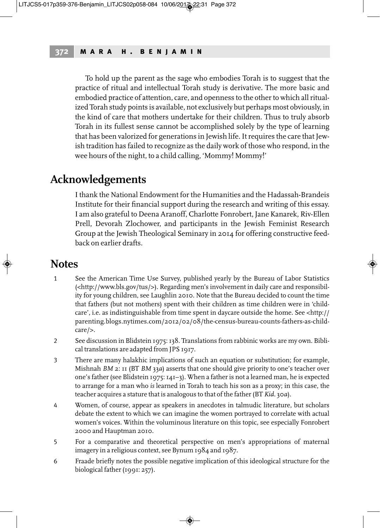To hold up the parent as the sage who embodies Torah is to suggest that the practice of ritual and intellectual Torah study is derivative. The more basic and embodied practice of attention, care, and openness to the other to which all ritualized Torah study points is available, not exclusively but perhaps most obviously, in the kind of care that mothers undertake for their children. Thus to truly absorb Torah in its fullest sense cannot be accomplished solely by the type of learning that has been valorized for generations in Jewish life. It requires the care that Jewish tradition has failed to recognize as the daily work of those who respond, in the wee hours of the night, to a child calling, 'Mommy! Mommy!'

### **Acknowledgements**

I thank the National Endowment forthe Humanities and the Hadassah-Brandeis Institute for their financial support during the research and writing of this essay. I am also grateful to Deena Aranoff, Charlotte Fonrobert, Jane Kanarek, Riv-Ellen Prell, Devorah Zlochower, and participants in the Jewish Feminist Research Group at the Jewish Theological Seminary in 2014 for offering constructive feedback on earlier drafts.

### **Notes**

- 1 See the American Time Use Survey, published yearly by the Bureau of Labor Statistics (<http://www.bls.gov/tus/>). Regarding men's involvement in daily care and responsibility for young children, see Laughlin 2010. Note that the Bureau decided to count the time that fathers (but not mothers) spent with their children as time children were in 'childcare', i.e. as indistinguishable from time spent in daycare outside the home. See <http:// parenting.blogs.nytimes.com/2012/02/08/the-census-bureau-counts-fathers-as-childcare/>.
- 2 See discussion in Blidstein 1975:138. Translations from rabbinic works are my own. Biblical translations are adapted from JPS 1917.
- 3 There are many halakhic implications of such an equation or substitution; for example, Mishnah *BM* 2: 11 (BT *BM* 33*a*) asserts that one should give priority to one's teacher over one's father (see Blidstein 1975: 141-3). When a father is not a learned man, he is expected to arrange for a man who *is* learned in Torah to teach his son as a proxy; in this case, the teacher acquires a stature that is analogous to that of the father(BT *Kid.* 30*a*).
- 4 Women, of course, appear as speakers in anecdotes in talmudic literature, but scholars debate the extent to which we can imagine the women portrayed to correlate with actual women's voices. Within the voluminous literature on this topic, see especially Fonrobert 2000 and Hauptman 2010.
- 5 For a comparative and theoretical perspective on men's appropriations of maternal imagery in a religious context, see Bynum 1984 and 1987.
- 6 Fraade briefly notes the possible negative implication of this ideological structure for the biological father (1991: 257).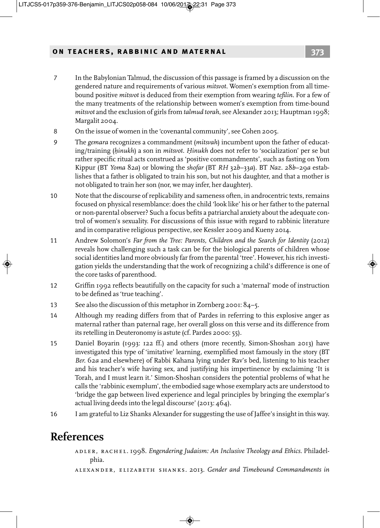- 7 In the Babylonian Talmud, the discussion of this passage is framed by a discussion on the gendered nature and requirements of various *mitsvot*. Women's exemption from all timebound positive *mitsvot* is deduced from their exemption from wearing *tefilin*. For a few of the many treatments of the relationship between women's exemption from time-bound *mitsvot* and the exclusion of girls from *talmud torah*, see Alexander 2013; Hauptman 1998; Margalit 2004.
- 8 On the issue of women in the 'covenantal community', see Cohen 2005.
- 9 The *gemara* recognizes a commandment (*mitsvah*) incumbent upon the father of educating/training (*hinukh*) a son in *mitsvot*. *Hinukh* does not refer to 'socialization' per se but rather specific ritual acts construed as 'positive commandments', such as fasting on Yom Kippur (BT *Yoma* 82*a*) or blowing the *shofar* (BT *RH* 32*b*–33*a*). BT *Naz.* 28*b*–29*a* establishes that a father is obligated to train his son, but not his daughter, and that a mother is not obligated to train her son (nor, we may infer, her daughter).
- 10 Note that the discourse of replicability and sameness often, in androcentric texts, remains focused on physical resemblance: does the child 'look like' his or her father to the paternal or non-parental observer? Such a focus befits a patriarchal anxiety about the adequate control of women's sexuality. For discussions of this issue with regard to rabbinic literature and in comparative religious perspective, see Kessler 2009 and Kueny 2014.
- 11 Andrew Solomon's *Far from the Tree: Parents, Children and the Search for Identity* (2012) reveals how challenging such a task can be for the biological parents of children whose social identities land more obviously farfrom the parental 'tree'. However, his rich investigation yields the understanding that the work of recognizing a child's difference is one of the core tasks of parenthood.
- 12 Griffin 1992 reflects beautifully on the capacity for such a 'maternal' mode of instruction to be defined as 'true teaching'.
- 13 See also the discussion of this metaphor in Zornberg 2001: 84-5.
- 14 Although my reading differs from that of Pardes in referring to this explosive anger as maternal rather than paternal rage, her overall gloss on this verse and its difference from its retelling in Deuteronomy is astute (cf. Pardes 2000: 55).
- 15 Daniel Boyarin (1993: 122 ff.) and others (more recently, Simon-Shoshan 2013) have investigated this type of 'imitative' learning, exemplified most famously in the story (BT *Ber.* 62*a* and elsewhere) of Rabbi Kahana lying under Rav's bed, listening to his teacher and his teacher's wife having sex, and justifying his impertinence by exclaiming 'It is Torah, and I must learn it.' Simon-Shoshan considers the potential problems of what he calls the 'rabbinic exemplum', the embodied sage whose exemplary acts are understood to 'bridge the gap between lived experience and legal principles by bringing the exemplar's actual living deeds into the legal discourse' (2013: 464).
- 16 I am grateful to Liz Shanks Alexander for suggesting the use of Jaffee's insight in this way.

## **References**

- adler, rachel. 1998. *Engendering Judaism: An Inclusive Theology and Ethics*. Philadelphia.
- alexander, elizabeth shanks. 2013. *Gender and Timebound Commandments in*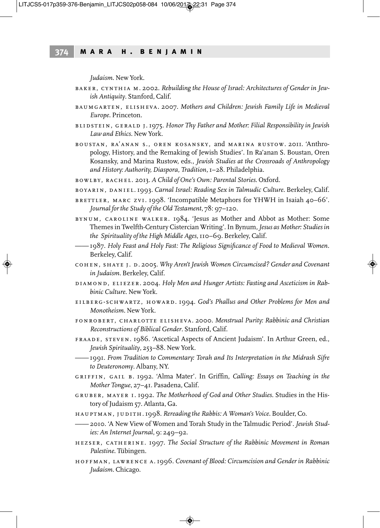*Judaism*. New York.

- baker, cynthia m. 2002. *Rebuilding the House of Israel: Architectures of Gender in Jewish Antiquity*. Stanford, Calif.
- baumgarten, elisheva. 2007. *Mothers and Children: Jewish Family Life in Medieval Europe*. Princeton.
- blidstein, gerald j. 1975. *Honor Thy Father and Mother: Filial Responsibility in Jewish Law and Ethics*. New York.
- boustan, ra'anan s., oren kosansky, and marina rustow. 2011. 'Anthropology, History, and the Remaking of Jewish Studies'. In Ra'anan S. Boustan, Oren Kosansky, and Marina Rustow, eds., *Jewish Studies at the Crossroads of Anthropology and History: Authority, Diaspora, Tradition*,1–28. Philadelphia.
- bowlby, rachel. 2013. *A Child of One's Own: Parental Stories*. Oxford.
- boyarin, daniel. 1993. *Carnal Israel: Reading Sex in Talmudic Culture*. Berkeley, Calif.
- brettler, marc zvi. 1998. 'Incompatible Metaphors for YHWH in Isaiah 40–66'. *Journal forthe Study of the Old Testament*, 78: 97–120.
- bynum, caroline walker. 1984. 'Jesus as Mother and Abbot as Mother: Some Themes in Twelfth-CenturyCistercian Writing'.In Bynum,*Jesus as Mother: Studies in the Spirituality of the High Middle Ages*,110–69. Berkeley, Calif.
- ——1987. *Holy Feast and Holy Fast: The Religious Significance of Food to Medieval Women*. Berkeley, Calif.
- cohen, shaye j. d. 2005. *Why Aren'tJewish Women Circumcised? Gender and Covenant in Judaism*. Berkeley, Calif.
- diamond, eliezer. 2004. *Holy Men and Hunger Artists: Fasting and Asceticism in Rabbinic Culture*. New York.
- eilberg-schwartz, howard. 1994. *God's Phallus and Other Problems for Men and Monotheism*. New York.
- fonrobert, charlotte elisheva. 2000. *Menstrual Purity: Rabbinic and Christian Reconstructions of Biblical Gender*. Stanford, Calif.
- fraade, steven. 1986. 'Ascetical Aspects of Ancient Judaism'. In Arthur Green, ed., *Jewish Spirituality*, 253–88. New York.
- ——1991. *From Tradition to Commentary: Torah and Its Interpretation in the Midrash Sifre to Deuteronomy*. Albany, NY.
- griffin, gail b. 1992. 'Alma Mater'. In Griffin, *Calling: Essays on Teaching in the Mother Tongue*, 27–41. Pasadena, Calif.
- gruber, mayer i. 1992. *The Motherhood of God and Other Studies*. Studies in the History of Judaism 57. Atlanta, Ga.
- hauptman, judith.1998. *Rereading the Rabbis: A Woman's Voice*. Boulder, Co.
- ——2010. 'A New View of Women and Torah Study in the Talmudic Period'. *Jewish Studies: An Internet Journal*, 9: 249–92.
- hezser, catherine. 1997. *The Social Structure of the Rabbinic Movement in Roman Palestine*. Tübingen.
- hoffman, lawrence a.1996. *Covenant of Blood: Circumcision and Gender in Rabbinic Judaism*. Chicago.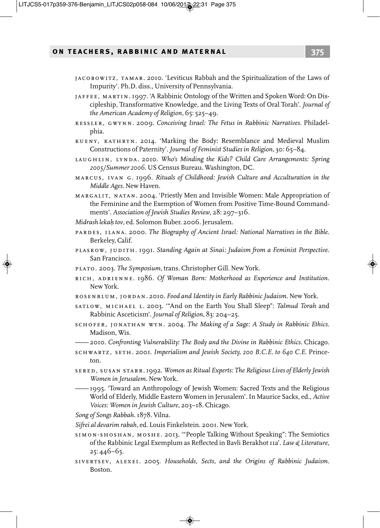- jacobowitz, tamar. 2010. 'Leviticus Rabbah and the Spiritualization of the Laws of Impurity'. Ph.D. diss., University of Pennsylvania.
- jaffee, martin.1997. 'A Rabbinic Ontology of the Written and Spoken Word: On Discipleship, Transformative Knowledge, and the Living Texts of Oral Torah'. *Journal of the American Academy of Religion*, 65: 525–49.
- kessler, gwynn. 2009. *Conceiving Israel: The Fetus in Rabbinic Narratives*. Philadelphia.
- kueny, kathryn. 2014. 'Marking the Body: Resemblance and Medieval Muslim Constructions of Paternity'.*Journal of Feminist Studies in Religion*, 30: 65–84.
- laughlin, lynda. 2010. *Who's Minding the Kids? Child Care Arrangements: Spring 2005/Summer 2006*. US Census Bureau. Washington, DC.
- marcus, ivan g. 1996. *Rituals of Childhood: Jewish Culture and Acculturation in the Middle Ages*. New Haven.
- margalit, natan. 2004. 'Priestly Men and Invisible Women: Male Appropriation of the Feminine and the Exemption of Women from Positive Time-Bound Commandments'. *Association of Jewish Studies Review*, 28: 297–316.
- *Midrash lekah. tov*, ed. Solomon Buber. 2006.Jerusalem.
- pardes, ilana. 2000. *The Biography of Ancient Israel: National Narratives in the Bible*. Berkeley, Calif.
- plaskow, judith. 1991. *Standing Again at Sinai: Judaism from a Feminist Perspective*. San Francisco.
- plato. 2003. *The Symposium*, trans. Christopher Gill. New York.
- rich, adrienne. 1986. *Of Woman Born: Motherhood as Experience and Institution*. New York.
- rosenblum, jordan. 2010. *Food and Identity in Early RabbinicJudaism*. New York.
- satlow, michael l. 2003. '"And on the Earth You Shall Sleep": *Talmud Torah* and Rabbinic Asceticism'.*Journal of Religion*, 83: 204–25.
- schofer, jonathan wyn. 2004. *The Making of a Sage: A Study in Rabbinic Ethics*. Madison, Wis.
- ——2010. *Confronting Vulnerability: The Body and the Divine in Rabbinic Ethics*. Chicago.
- schwartz, seth. 2001. *Imperialism and Jewish Society, 200 B.C.E. to 640 C.E*. Princeton.
- sered, susan starr.1992. *Women as Ritual Experts: The Religious Lives of Elderly Jewish Women in Jerusalem*. New York.
- ——1995. 'Toward an Anthropology of Jewish Women: Sacred Texts and the Religious World of Elderly, Middle Eastern Women in Jerusalem'. In Maurice Sacks, ed., *Active Voices: Women in Jewish Culture*, 203–18. Chicago.

*Song of Songs Rabbah*.1878. Vilna.

*Sifrei al devarim rabah*, ed. Louis Finkelstein. 2001. New York.

- simon-shoshan, moshe. 2013. '"People Talking Without Speaking": The Semiotics of the Rabbinic Legal Exemplum as Reflected in Bavli Berakhot11a'. *Law & Literature*, 25: 446–65.
- sivertsev, alexei. 2005. *Households, Sects, and the Origins of Rabbinic Judaism*. Boston.